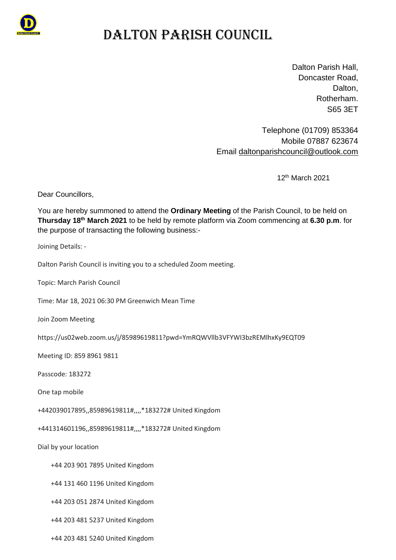

### DALTON PARISH COUNCIL

Dalton Parish Hall, Doncaster Road, Dalton. Rotherham. S65 3ET

Telephone (01709) 853364 Mobile 07887 623674 Email [daltonparishcouncil@outlook.com](mailto:daltonparishcouncil@outlook.com)

12 th March 2021

Dear Councillors,

You are hereby summoned to attend the **Ordinary Meeting** of the Parish Council, to be held on **Thursday 18th March 2021** to be held by remote platform via Zoom commencing at **6.30 p.m**. for the purpose of transacting the following business:-

Joining Details: -

Dalton Parish Council is inviting you to a scheduled Zoom meeting.

Topic: March Parish Council

Time: Mar 18, 2021 06:30 PM Greenwich Mean Time

Join Zoom Meeting

https://us02web.zoom.us/j/85989619811?pwd=YmRQWVllb3VFYWI3bzREMlhxKy9EQT09

Meeting ID: 859 8961 9811

Passcode: 183272

One tap mobile

+442039017895,,85989619811#,,,,\*183272# United Kingdom

+441314601196,,85989619811#,,,,\*183272# United Kingdom

Dial by your location

- +44 203 901 7895 United Kingdom
- +44 131 460 1196 United Kingdom
- +44 203 051 2874 United Kingdom

+44 203 481 5237 United Kingdom

+44 203 481 5240 United Kingdom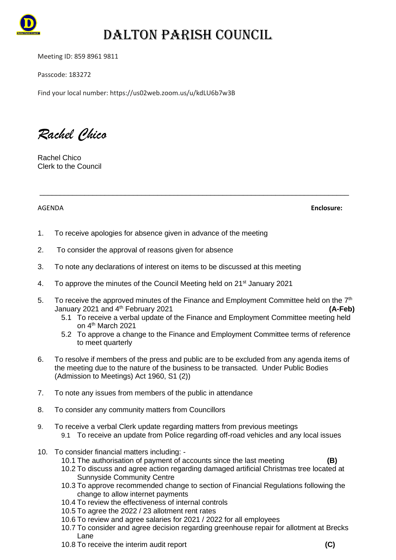

# DALTON PARISH COUNCIL

Meeting ID: 859 8961 9811

Passcode: 183272

Find your local number: https://us02web.zoom.us/u/kdLU6b7w3B

*Rachel Chico*

Rachel Chico Clerk to the Council

AGENDA **Enclosure:**

- 1. To receive apologies for absence given in advance of the meeting
- 2. To consider the approval of reasons given for absence
- 3. To note any declarations of interest on items to be discussed at this meeting
- 4. To approve the minutes of the Council Meeting held on 21st January 2021
- 5. To receive the approved minutes of the Finance and Employment Committee held on the  $7<sup>th</sup>$ January 2021 and 4th February 2021 **(A-Feb)**

\_\_\_\_\_\_\_\_\_\_\_\_\_\_\_\_\_\_\_\_\_\_\_\_\_\_\_\_\_\_\_\_\_\_\_\_\_\_\_\_\_\_\_\_\_\_\_\_\_\_\_\_\_\_\_\_\_\_\_\_\_\_\_\_\_\_\_\_\_\_\_\_\_\_\_\_

- 5.1 To receive a verbal update of the Finance and Employment Committee meeting held on 4<sup>th</sup> March 2021
- 5.2 To approve a change to the Finance and Employment Committee terms of reference to meet quarterly
- 6. To resolve if members of the press and public are to be excluded from any agenda items of the meeting due to the nature of the business to be transacted. Under Public Bodies (Admission to Meetings) Act 1960, S1 (2))
- 7. To note any issues from members of the public in attendance
- 8. To consider any community matters from Councillors
- 9. To receive a verbal Clerk update regarding matters from previous meetings 9.1 To receive an update from Police regarding off-road vehicles and any local issues
- 10. To consider financial matters including:
	- 10.1 The authorisation of payment of accounts since the last meeting **(B)**
	- 10.2 To discuss and agree action regarding damaged artificial Christmas tree located at Sunnyside Community Centre
	- 10.3 To approve recommended change to section of Financial Regulations following the change to allow internet payments
	- 10.4 To review the effectiveness of internal controls
	- 10.5 To agree the 2022 / 23 allotment rent rates
	- 10.6 To review and agree salaries for 2021 / 2022 for all employees
	- 10.7 To consider and agree decision regarding greenhouse repair for allotment at Brecks Lane
	- 10.8 To receive the interim audit report **(C)**